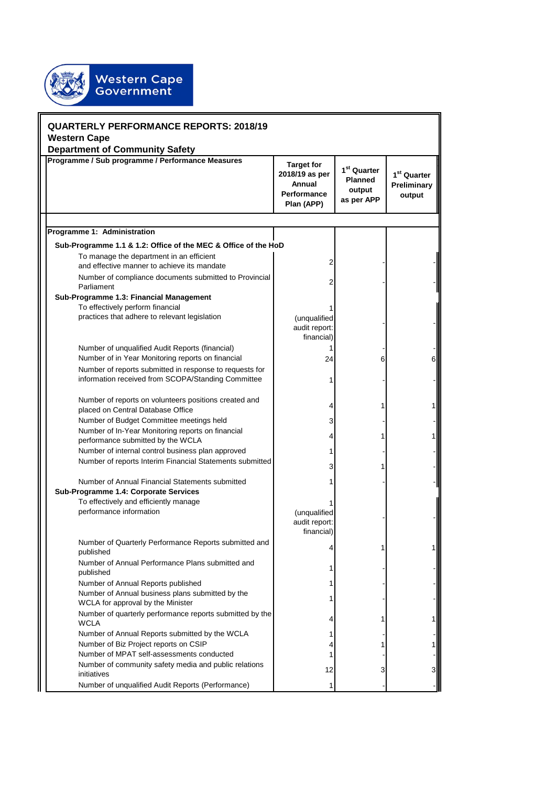| <b>QUARTERLY PERFORMANCE REPORTS: 2018/19</b><br><b>Western Cape</b><br><b>Department of Community Safety</b>                                                                                                       |                                                                            |                                                                   |                                                  |
|---------------------------------------------------------------------------------------------------------------------------------------------------------------------------------------------------------------------|----------------------------------------------------------------------------|-------------------------------------------------------------------|--------------------------------------------------|
| Programme / Sub programme / Performance Measures                                                                                                                                                                    | <b>Target for</b><br>2018/19 as per<br>Annual<br>Performance<br>Plan (APP) | 1 <sup>st</sup> Quarter<br><b>Planned</b><br>output<br>as per APP | 1 <sup>st</sup> Quarter<br>Preliminary<br>output |
|                                                                                                                                                                                                                     |                                                                            |                                                                   |                                                  |
| Programme 1: Administration                                                                                                                                                                                         |                                                                            |                                                                   |                                                  |
| Sub-Programme 1.1 & 1.2: Office of the MEC & Office of the HoD<br>To manage the department in an efficient<br>and effective manner to achieve its mandate<br>Number of compliance documents submitted to Provincial |                                                                            |                                                                   |                                                  |
| Parliament<br>Sub-Programme 1.3: Financial Management<br>To effectively perform financial                                                                                                                           |                                                                            |                                                                   |                                                  |
| practices that adhere to relevant legislation                                                                                                                                                                       | (unqualified<br>audit report:<br>financial)                                |                                                                   |                                                  |
| Number of unqualified Audit Reports (financial)                                                                                                                                                                     |                                                                            |                                                                   |                                                  |
| Number of in Year Monitoring reports on financial<br>Number of reports submitted in response to requests for                                                                                                        | 24                                                                         | 6                                                                 |                                                  |
| information received from SCOPA/Standing Committee                                                                                                                                                                  |                                                                            |                                                                   |                                                  |
| Number of reports on volunteers positions created and<br>placed on Central Database Office                                                                                                                          |                                                                            |                                                                   |                                                  |
| Number of Budget Committee meetings held                                                                                                                                                                            | 3                                                                          |                                                                   |                                                  |
| Number of In-Year Monitoring reports on financial<br>performance submitted by the WCLA                                                                                                                              |                                                                            |                                                                   |                                                  |
| Number of internal control business plan approved<br>Number of reports Interim Financial Statements submitted                                                                                                       |                                                                            |                                                                   |                                                  |
| Number of Annual Financial Statements submitted                                                                                                                                                                     |                                                                            |                                                                   |                                                  |
| Sub-Programme 1.4: Corporate Services                                                                                                                                                                               |                                                                            |                                                                   |                                                  |
| To effectively and efficiently manage<br>performance information                                                                                                                                                    | (unqualified<br>audit report:<br>financial)                                |                                                                   |                                                  |
| Number of Quarterly Performance Reports submitted and<br>published                                                                                                                                                  | 4                                                                          |                                                                   |                                                  |
| Number of Annual Performance Plans submitted and<br>published                                                                                                                                                       |                                                                            |                                                                   |                                                  |
| Number of Annual Reports published<br>Number of Annual business plans submitted by the<br>WCLA for approval by the Minister                                                                                         |                                                                            |                                                                   |                                                  |
| Number of quarterly performance reports submitted by the<br>WCLA                                                                                                                                                    |                                                                            |                                                                   |                                                  |
| Number of Annual Reports submitted by the WCLA                                                                                                                                                                      |                                                                            |                                                                   |                                                  |
| Number of Biz Project reports on CSIP<br>Number of MPAT self-assessments conducted                                                                                                                                  |                                                                            |                                                                   |                                                  |
| Number of community safety media and public relations<br>initiatives                                                                                                                                                | 12                                                                         | 3                                                                 | 3                                                |
| Number of unqualified Audit Reports (Performance)                                                                                                                                                                   | 1                                                                          |                                                                   |                                                  |

Western Cape<br>Government

安安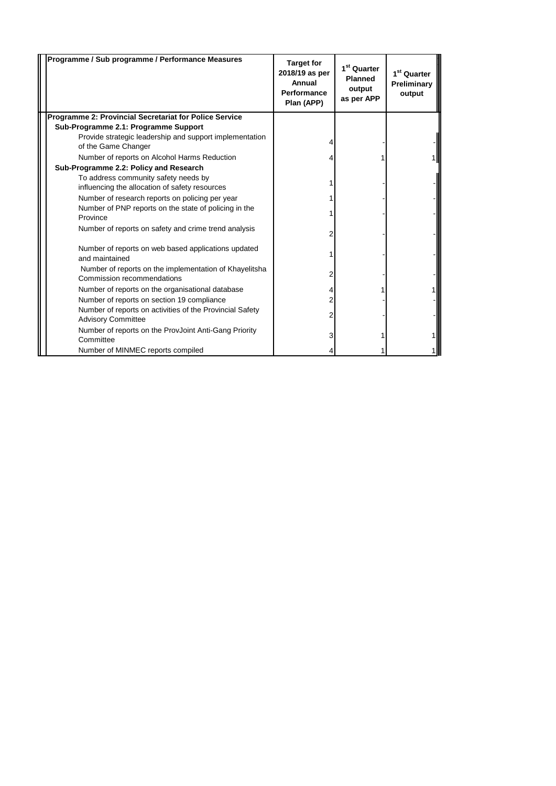| Programme / Sub programme / Performance Measures                                      | <b>Target for</b><br>2018/19 as per<br>Annual<br><b>Performance</b><br>Plan (APP) | 1 <sup>st</sup> Quarter<br>Planned<br>output<br>as per APP | 1 <sup>st</sup> Quarter<br>Preliminary<br>output |
|---------------------------------------------------------------------------------------|-----------------------------------------------------------------------------------|------------------------------------------------------------|--------------------------------------------------|
| Programme 2: Provincial Secretariat for Police Service                                |                                                                                   |                                                            |                                                  |
| Sub-Programme 2.1: Programme Support                                                  |                                                                                   |                                                            |                                                  |
| Provide strategic leadership and support implementation                               |                                                                                   |                                                            |                                                  |
| of the Game Changer                                                                   |                                                                                   |                                                            |                                                  |
| Number of reports on Alcohol Harms Reduction                                          |                                                                                   |                                                            |                                                  |
| Sub-Programme 2.2: Policy and Research                                                |                                                                                   |                                                            |                                                  |
| To address community safety needs by                                                  |                                                                                   |                                                            |                                                  |
| influencing the allocation of safety resources                                        |                                                                                   |                                                            |                                                  |
| Number of research reports on policing per year                                       |                                                                                   |                                                            |                                                  |
| Number of PNP reports on the state of policing in the<br>Province                     |                                                                                   |                                                            |                                                  |
| Number of reports on safety and crime trend analysis                                  |                                                                                   |                                                            |                                                  |
| Number of reports on web based applications updated<br>and maintained                 |                                                                                   |                                                            |                                                  |
| Number of reports on the implementation of Khayelitsha<br>Commission recommendations  |                                                                                   |                                                            |                                                  |
| Number of reports on the organisational database                                      |                                                                                   |                                                            |                                                  |
| Number of reports on section 19 compliance                                            |                                                                                   |                                                            |                                                  |
| Number of reports on activities of the Provincial Safety<br><b>Advisory Committee</b> |                                                                                   |                                                            |                                                  |
| Number of reports on the ProvJoint Anti-Gang Priority                                 |                                                                                   |                                                            |                                                  |
| Committee                                                                             |                                                                                   |                                                            |                                                  |
| Number of MINMEC reports compiled                                                     |                                                                                   |                                                            |                                                  |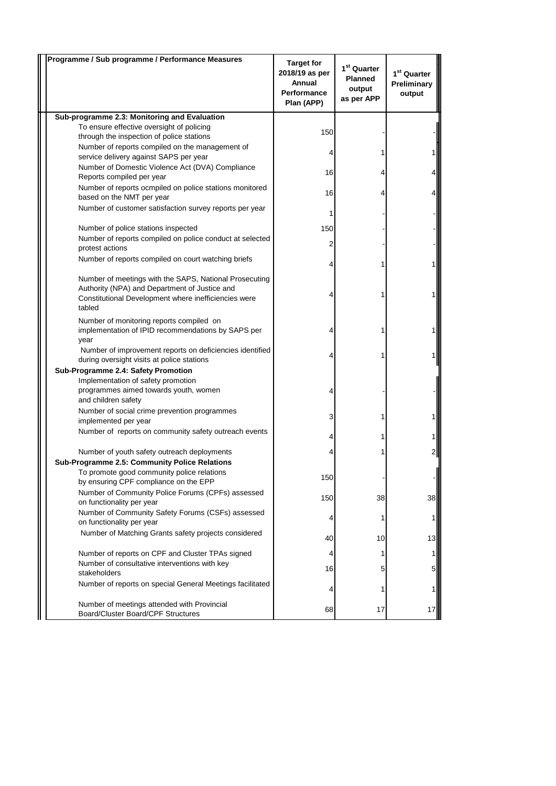| Programme / Sub programme / Performance Measures                                                                                                                          | <b>Target for</b><br>2018/19 as per<br>Annual<br>Performance<br>Plan (APP) | 1 <sup>st</sup> Quarter<br><b>Planned</b><br>output<br>as per APP | $1st$ Quarter<br>Preliminary<br>output |
|---------------------------------------------------------------------------------------------------------------------------------------------------------------------------|----------------------------------------------------------------------------|-------------------------------------------------------------------|----------------------------------------|
| Sub-programme 2.3: Monitoring and Evaluation                                                                                                                              |                                                                            |                                                                   |                                        |
| To ensure effective oversight of policing<br>through the inspection of police stations                                                                                    | 150                                                                        |                                                                   |                                        |
| Number of reports compiled on the management of<br>service delivery against SAPS per year                                                                                 |                                                                            |                                                                   |                                        |
| Number of Domestic Violence Act (DVA) Compliance<br>Reports compiled per year                                                                                             | 16                                                                         | 4                                                                 |                                        |
| Number of reports ocmpiled on police stations monitored<br>based on the NMT per year                                                                                      | 16                                                                         | 4                                                                 |                                        |
| Number of customer satisfaction survey reports per year                                                                                                                   | 1                                                                          |                                                                   |                                        |
| Number of police stations inspected                                                                                                                                       | 150                                                                        |                                                                   |                                        |
| Number of reports compiled on police conduct at selected<br>protest actions                                                                                               | 2                                                                          |                                                                   |                                        |
| Number of reports compiled on court watching briefs                                                                                                                       |                                                                            |                                                                   |                                        |
| Number of meetings with the SAPS, National Prosecuting<br>Authority (NPA) and Department of Justice and<br>Constitutional Development where inefficiencies were<br>tabled |                                                                            |                                                                   |                                        |
| Number of monitoring reports compiled on<br>implementation of IPID recommendations by SAPS per<br>year                                                                    |                                                                            |                                                                   |                                        |
| Number of improvement reports on deficiencies identified<br>during oversight visits at police stations                                                                    |                                                                            |                                                                   |                                        |
| Sub-Programme 2.4: Safety Promotion                                                                                                                                       |                                                                            |                                                                   |                                        |
| Implementation of safety promotion<br>programmes aimed towards youth, women<br>and children safety                                                                        |                                                                            |                                                                   |                                        |
| Number of social crime prevention programmes<br>implemented per year                                                                                                      | 3                                                                          |                                                                   |                                        |
| Number of reports on community safety outreach events                                                                                                                     |                                                                            |                                                                   |                                        |
| Number of youth safety outreach deployments                                                                                                                               |                                                                            |                                                                   |                                        |
| Sub-Programme 2.5: Community Police Relations                                                                                                                             |                                                                            |                                                                   |                                        |
| To promote good community police relations                                                                                                                                | 150                                                                        |                                                                   |                                        |
| by ensuring CPF compliance on the EPP<br>Number of Community Police Forums (CPFs) assessed                                                                                |                                                                            |                                                                   |                                        |
| on functionality per year                                                                                                                                                 | 150                                                                        | 38                                                                | 38                                     |
| Number of Community Safety Forums (CSFs) assessed<br>on functionality per year                                                                                            |                                                                            | 1                                                                 | 1                                      |
| Number of Matching Grants safety projects considered                                                                                                                      | 40                                                                         | 10                                                                | 13                                     |
| Number of reports on CPF and Cluster TPAs signed                                                                                                                          |                                                                            | 1                                                                 | 1                                      |
| Number of consultative interventions with key<br>stakeholders                                                                                                             | 16                                                                         | 5                                                                 | 5                                      |
| Number of reports on special General Meetings facilitated                                                                                                                 |                                                                            |                                                                   |                                        |
| Number of meetings attended with Provincial<br>Board/Cluster Board/CPF Structures                                                                                         | 68                                                                         | 17                                                                | 17                                     |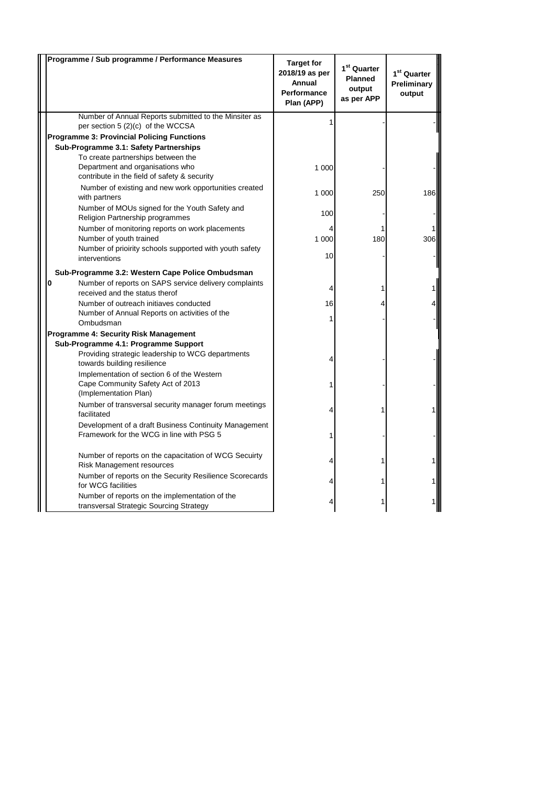| Programme / Sub programme / Performance Measures                                                                       | <b>Target for</b><br>2018/19 as per<br>Annual<br><b>Performance</b><br>Plan (APP) | $1st$ Quarter<br><b>Planned</b><br>output<br>as per APP | 1 <sup>st</sup> Quarter<br>Preliminary<br>output |
|------------------------------------------------------------------------------------------------------------------------|-----------------------------------------------------------------------------------|---------------------------------------------------------|--------------------------------------------------|
| Number of Annual Reports submitted to the Minsiter as<br>per section 5 (2)(c) of the WCCSA                             |                                                                                   |                                                         |                                                  |
| <b>Programme 3: Provincial Policing Functions</b>                                                                      |                                                                                   |                                                         |                                                  |
| Sub-Programme 3.1: Safety Partnerships                                                                                 |                                                                                   |                                                         |                                                  |
| To create partnerships between the<br>Department and organisations who<br>contribute in the field of safety & security | 1 000                                                                             |                                                         |                                                  |
| Number of existing and new work opportunities created<br>with partners                                                 | 1 000                                                                             | 250                                                     | 186                                              |
| Number of MOUs signed for the Youth Safety and<br>Religion Partnership programmes                                      | 100                                                                               |                                                         |                                                  |
| Number of monitoring reports on work placements                                                                        |                                                                                   |                                                         |                                                  |
| Number of youth trained<br>Number of prioirity schools supported with youth safety                                     | 1 000                                                                             | 180                                                     | 306                                              |
| interventions                                                                                                          | 10                                                                                |                                                         |                                                  |
| Sub-Programme 3.2: Western Cape Police Ombudsman                                                                       |                                                                                   |                                                         |                                                  |
| 0<br>Number of reports on SAPS service delivery complaints<br>received and the status therof                           | 4                                                                                 |                                                         |                                                  |
| Number of outreach initiaves conducted                                                                                 | 16                                                                                |                                                         |                                                  |
| Number of Annual Reports on activities of the<br>Ombudsman                                                             |                                                                                   |                                                         |                                                  |
| <b>Programme 4: Security Risk Management</b>                                                                           |                                                                                   |                                                         |                                                  |
| Sub-Programme 4.1: Programme Support                                                                                   |                                                                                   |                                                         |                                                  |
| Providing strategic leadership to WCG departments<br>towards building resilience                                       |                                                                                   |                                                         |                                                  |
| Implementation of section 6 of the Western<br>Cape Community Safety Act of 2013<br>(Implementation Plan)               |                                                                                   |                                                         |                                                  |
| Number of transversal security manager forum meetings<br>facilitated                                                   |                                                                                   |                                                         |                                                  |
| Development of a draft Business Continuity Management<br>Framework for the WCG in line with PSG 5                      |                                                                                   |                                                         |                                                  |
| Number of reports on the capacitation of WCG Secuirty<br><b>Risk Management resources</b>                              |                                                                                   |                                                         |                                                  |
| Number of reports on the Security Resilience Scorecards<br>for WCG facilities                                          |                                                                                   |                                                         |                                                  |
| Number of reports on the implementation of the<br>transversal Strategic Sourcing Strategy                              |                                                                                   |                                                         |                                                  |